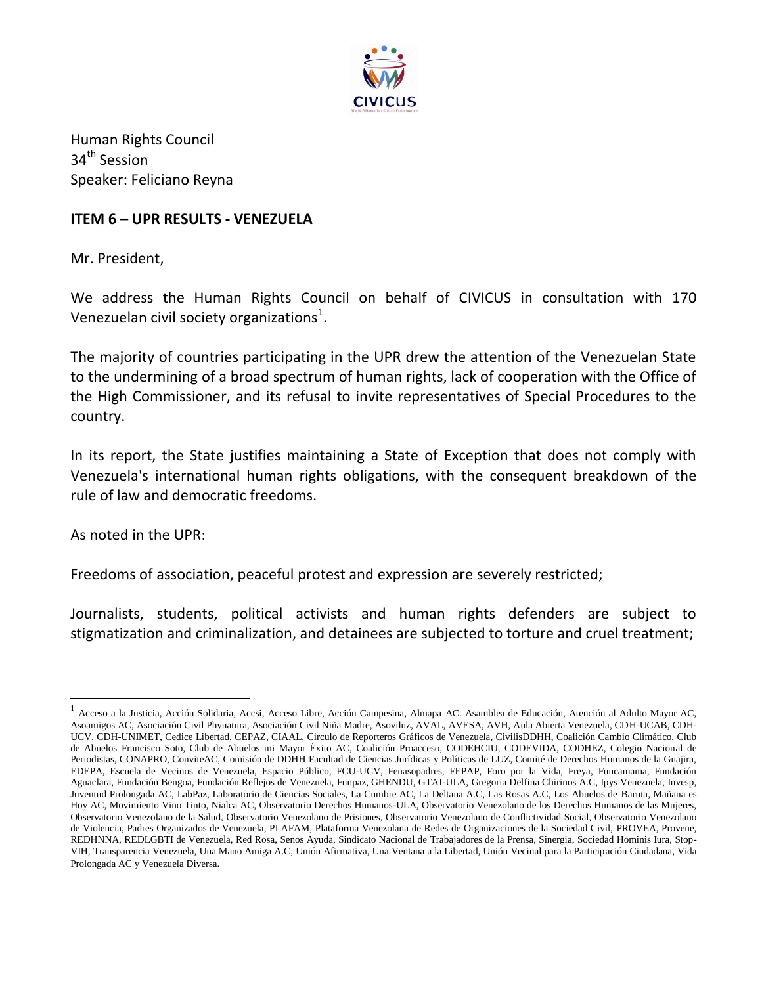

Human Rights Council 34<sup>th</sup> Session Speaker: Feliciano Reyna

## **ITEM 6 – UPR RESULTS - VENEZUELA**

Mr. President,

We address the Human Rights Council on behalf of CIVICUS in consultation with 170 Venezuelan civil society organizations $^1$ .

The majority of countries participating in the UPR drew the attention of the Venezuelan State to the undermining of a broad spectrum of human rights, lack of cooperation with the Office of the High Commissioner, and its refusal to invite representatives of Special Procedures to the country.

In its report, the State justifies maintaining a State of Exception that does not comply with Venezuela's international human rights obligations, with the consequent breakdown of the rule of law and democratic freedoms.

As noted in the UPR:

 $\overline{\phantom{a}}$ 

Freedoms of association, peaceful protest and expression are severely restricted;

Journalists, students, political activists and human rights defenders are subject to stigmatization and criminalization, and detainees are subjected to torture and cruel treatment;

<sup>1</sup> Acceso a la Justicia, Acción Solidaria, Accsi, Acceso Libre, Acción Campesina, Almapa AC. Asamblea de Educación, Atención al Adulto Mayor AC, Asoamigos AC, Asociación Civil Phynatura, Asociación Civil Niña Madre, Asoviluz, AVAL, AVESA, AVH, Aula Abierta Venezuela, CDH-UCAB, CDH-UCV, CDH-UNIMET, Cedice Libertad, CEPAZ, CIAAL, Circulo de Reporteros Gráficos de Venezuela, CivilisDDHH, Coalición Cambio Climático, Club de Abuelos Francisco Soto, Club de Abuelos mi Mayor Éxito AC, Coalición Proacceso, CODEHCIU, CODEVIDA, CODHEZ, Colegio Nacional de Periodistas, CONAPRO, ConviteAC, Comisión de DDHH Facultad de Ciencias Jurídicas y Políticas de LUZ, Comité de Derechos Humanos de la Guajira, EDEPA, Escuela de Vecinos de Venezuela, Espacio Público, FCU-UCV, Fenasopadres, FEPAP, Foro por la Vida, Freya, Funcamama, Fundación Aguaclara, Fundación Bengoa, Fundación Reflejos de Venezuela, Funpaz, GHENDU, GTAI-ULA, Gregoria Delfina Chirinos A.C, Ipys Venezuela, Invesp, Juventud Prolongada AC, LabPaz, Laboratorio de Ciencias Sociales, La Cumbre AC, La Deltana A.C, Las Rosas A.C, Los Abuelos de Baruta, Mañana es Hoy AC, Movimiento Vino Tinto, Nialca AC, Observatorio Derechos Humanos-ULA, Observatorio Venezolano de los Derechos Humanos de las Mujeres, Observatorio Venezolano de la Salud, Observatorio Venezolano de Prisiones, Observatorio Venezolano de Conflictividad Social, Observatorio Venezolano de Violencia, Padres Organizados de Venezuela, PLAFAM, Plataforma Venezolana de Redes de Organizaciones de la Sociedad Civil, PROVEA, Provene, REDHNNA, REDLGBTI de Venezuela, Red Rosa, Senos Ayuda, Sindicato Nacional de Trabajadores de la Prensa, Sinergia, Sociedad Hominis Iura, Stop-VIH, Transparencia Venezuela, Una Mano Amiga A.C, Unión Afirmativa, Una Ventana a la Libertad, Unión Vecinal para la Participación Ciudadana, Vida Prolongada AC y Venezuela Diversa.